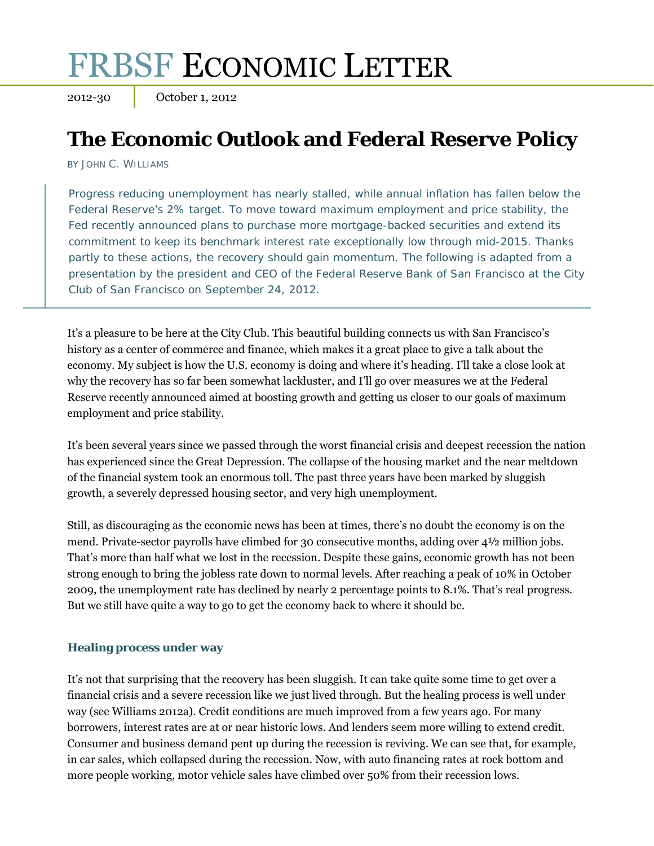# FRBSF ECONOMIC LETTER

2012-30 October 1, 2012

# **The Economic Outlook and Federal Reserve Policy**

BY JOHN C. WILLIAMS

Progress reducing unemployment has nearly stalled, while annual inflation has fallen below the Federal Reserve's 2% target. To move toward maximum employment and price stability, the Fed recently announced plans to purchase more mortgage-backed securities and extend its commitment to keep its benchmark interest rate exceptionally low through mid-2015. Thanks partly to these actions, the recovery should gain momentum. The following is adapted from a presentation by the president and CEO of the Federal Reserve Bank of San Francisco at the City Club of San Francisco on September 24, 2012.

It's a pleasure to be here at the City Club. This beautiful building connects us with San Francisco's history as a center of commerce and finance, which makes it a great place to give a talk about the economy. My subject is how the U.S. economy is doing and where it's heading. I'll take a close look at why the recovery has so far been somewhat lackluster, and I'll go over measures we at the Federal Reserve recently announced aimed at boosting growth and getting us closer to our goals of maximum employment and price stability.

It's been several years since we passed through the worst financial crisis and deepest recession the nation has experienced since the Great Depression. The collapse of the housing market and the near meltdown of the financial system took an enormous toll. The past three years have been marked by sluggish growth, a severely depressed housing sector, and very high unemployment.

Still, as discouraging as the economic news has been at times, there's no doubt the economy is on the mend. Private-sector payrolls have climbed for 30 consecutive months, adding over 4½ million jobs. That's more than half what we lost in the recession. Despite these gains, economic growth has not been strong enough to bring the jobless rate down to normal levels. After reaching a peak of 10% in October 2009, the unemployment rate has declined by nearly 2 percentage points to 8.1%. That's real progress. But we still have quite a way to go to get the economy back to where it should be.

### **Healing process under way**

It's not that surprising that the recovery has been sluggish. It can take quite some time to get over a financial crisis and a severe recession like we just lived through. But the healing process is well under way (see Williams 2012a). Credit conditions are much improved from a few years ago. For many borrowers, interest rates are at or near historic lows. And lenders seem more willing to extend credit. Consumer and business demand pent up during the recession is reviving. We can see that, for example, in car sales, which collapsed during the recession. Now, with auto financing rates at rock bottom and more people working, motor vehicle sales have climbed over 50% from their recession lows.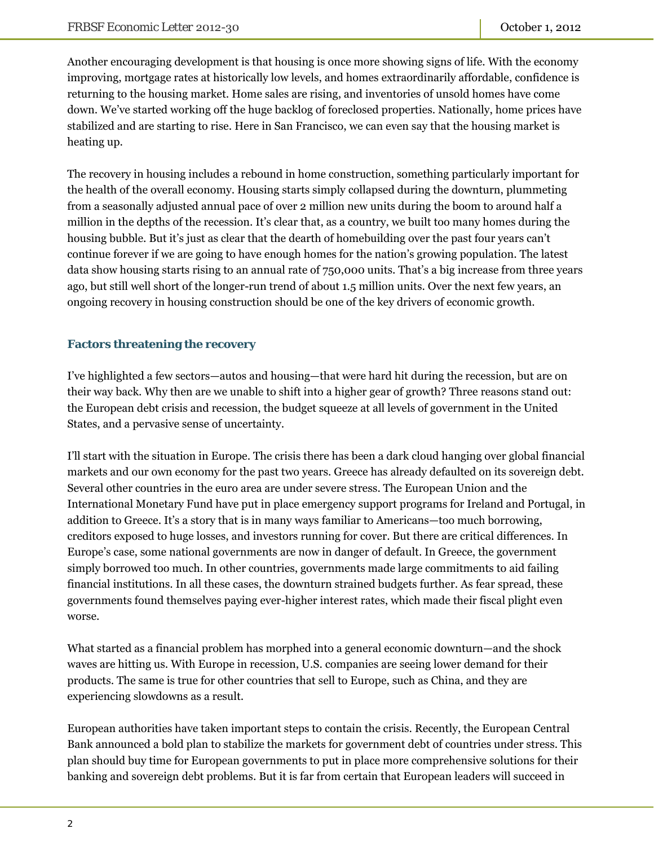Another encouraging development is that housing is once more showing signs of life. With the economy improving, mortgage rates at historically low levels, and homes extraordinarily affordable, confidence is returning to the housing market. Home sales are rising, and inventories of unsold homes have come down. We've started working off the huge backlog of foreclosed properties. Nationally, home prices have stabilized and are starting to rise. Here in San Francisco, we can even say that the housing market is heating up.

The recovery in housing includes a rebound in home construction, something particularly important for the health of the overall economy. Housing starts simply collapsed during the downturn, plummeting from a seasonally adjusted annual pace of over 2 million new units during the boom to around half a million in the depths of the recession. It's clear that, as a country, we built too many homes during the housing bubble. But it's just as clear that the dearth of homebuilding over the past four years can't continue forever if we are going to have enough homes for the nation's growing population. The latest data show housing starts rising to an annual rate of 750,000 units. That's a big increase from three years ago, but still well short of the longer-run trend of about 1.5 million units. Over the next few years, an ongoing recovery in housing construction should be one of the key drivers of economic growth.

# **Factors threatening the recovery**

I've highlighted a few sectors—autos and housing—that were hard hit during the recession, but are on their way back. Why then are we unable to shift into a higher gear of growth? Three reasons stand out: the European debt crisis and recession, the budget squeeze at all levels of government in the United States, and a pervasive sense of uncertainty.

I'll start with the situation in Europe. The crisis there has been a dark cloud hanging over global financial markets and our own economy for the past two years. Greece has already defaulted on its sovereign debt. Several other countries in the euro area are under severe stress. The European Union and the International Monetary Fund have put in place emergency support programs for Ireland and Portugal, in addition to Greece. It's a story that is in many ways familiar to Americans—too much borrowing, creditors exposed to huge losses, and investors running for cover. But there are critical differences. In Europe's case, some national governments are now in danger of default. In Greece, the government simply borrowed too much. In other countries, governments made large commitments to aid failing financial institutions. In all these cases, the downturn strained budgets further. As fear spread, these governments found themselves paying ever-higher interest rates, which made their fiscal plight even worse.

What started as a financial problem has morphed into a general economic downturn—and the shock waves are hitting us. With Europe in recession, U.S. companies are seeing lower demand for their products. The same is true for other countries that sell to Europe, such as China, and they are experiencing slowdowns as a result.

European authorities have taken important steps to contain the crisis. Recently, the European Central Bank announced a bold plan to stabilize the markets for government debt of countries under stress. This plan should buy time for European governments to put in place more comprehensive solutions for their banking and sovereign debt problems. But it is far from certain that European leaders will succeed in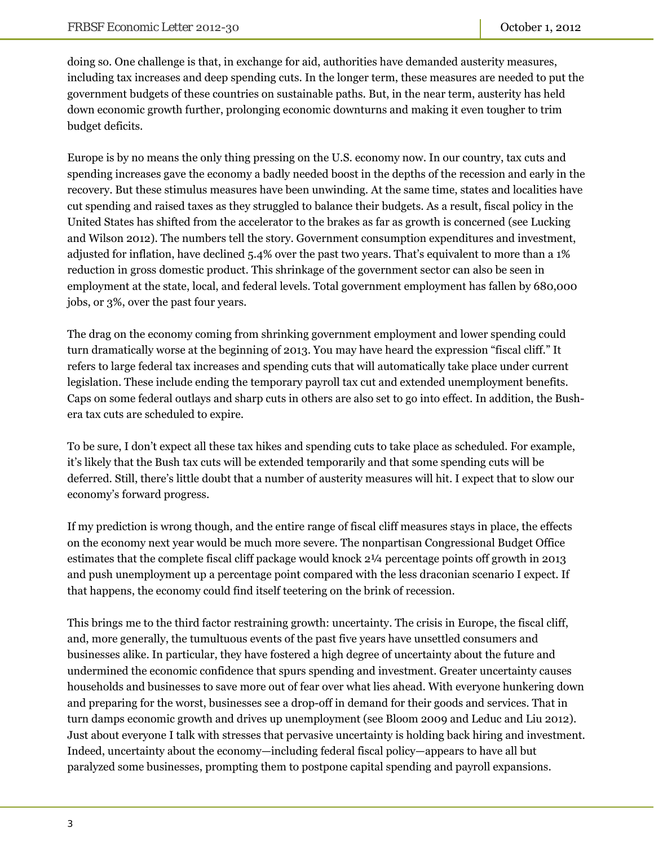doing so. One challenge is that, in exchange for aid, authorities have demanded austerity measures, including tax increases and deep spending cuts. In the longer term, these measures are needed to put the government budgets of these countries on sustainable paths. But, in the near term, austerity has held down economic growth further, prolonging economic downturns and making it even tougher to trim budget deficits.

Europe is by no means the only thing pressing on the U.S. economy now. In our country, tax cuts and spending increases gave the economy a badly needed boost in the depths of the recession and early in the recovery. But these stimulus measures have been unwinding. At the same time, states and localities have cut spending and raised taxes as they struggled to balance their budgets. As a result, fiscal policy in the United States has shifted from the accelerator to the brakes as far as growth is concerned (see Lucking and Wilson 2012). The numbers tell the story. Government consumption expenditures and investment, adjusted for inflation, have declined 5.4% over the past two years. That's equivalent to more than a 1% reduction in gross domestic product. This shrinkage of the government sector can also be seen in employment at the state, local, and federal levels. Total government employment has fallen by 680,000 jobs, or 3%, over the past four years.

The drag on the economy coming from shrinking government employment and lower spending could turn dramatically worse at the beginning of 2013. You may have heard the expression "fiscal cliff." It refers to large federal tax increases and spending cuts that will automatically take place under current legislation. These include ending the temporary payroll tax cut and extended unemployment benefits. Caps on some federal outlays and sharp cuts in others are also set to go into effect. In addition, the Bushera tax cuts are scheduled to expire.

To be sure, I don't expect all these tax hikes and spending cuts to take place as scheduled. For example, it's likely that the Bush tax cuts will be extended temporarily and that some spending cuts will be deferred. Still, there's little doubt that a number of austerity measures will hit. I expect that to slow our economy's forward progress.

If my prediction is wrong though, and the entire range of fiscal cliff measures stays in place, the effects on the economy next year would be much more severe. The nonpartisan Congressional Budget Office estimates that the complete fiscal cliff package would knock 2¼ percentage points off growth in 2013 and push unemployment up a percentage point compared with the less draconian scenario I expect. If that happens, the economy could find itself teetering on the brink of recession.

This brings me to the third factor restraining growth: uncertainty. The crisis in Europe, the fiscal cliff, and, more generally, the tumultuous events of the past five years have unsettled consumers and businesses alike. In particular, they have fostered a high degree of uncertainty about the future and undermined the economic confidence that spurs spending and investment. Greater uncertainty causes households and businesses to save more out of fear over what lies ahead. With everyone hunkering down and preparing for the worst, businesses see a drop-off in demand for their goods and services. That in turn damps economic growth and drives up unemployment (see Bloom 2009 and Leduc and Liu 2012). Just about everyone I talk with stresses that pervasive uncertainty is holding back hiring and investment. Indeed, uncertainty about the economy—including federal fiscal policy—appears to have all but paralyzed some businesses, prompting them to postpone capital spending and payroll expansions.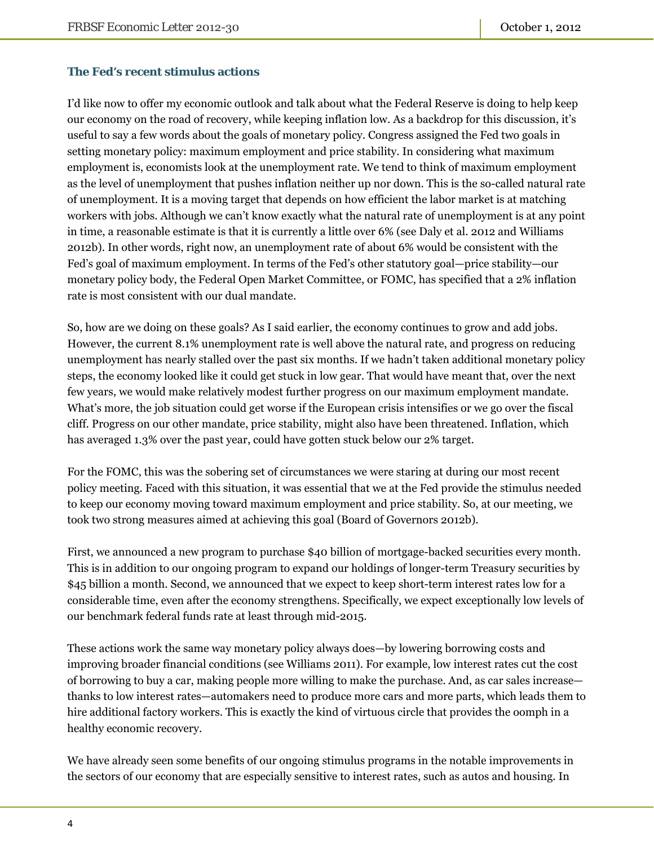## **The Fed's recent stimulus actions**

I'd like now to offer my economic outlook and talk about what the Federal Reserve is doing to help keep our economy on the road of recovery, while keeping inflation low. As a backdrop for this discussion, it's useful to say a few words about the goals of monetary policy. Congress assigned the Fed two goals in setting monetary policy: maximum employment and price stability. In considering what maximum employment is, economists look at the unemployment rate. We tend to think of maximum employment as the level of unemployment that pushes inflation neither up nor down. This is the so-called natural rate of unemployment. It is a moving target that depends on how efficient the labor market is at matching workers with jobs. Although we can't know exactly what the natural rate of unemployment is at any point in time, a reasonable estimate is that it is currently a little over 6% (see Daly et al. 2012 and Williams 2012b). In other words, right now, an unemployment rate of about 6% would be consistent with the Fed's goal of maximum employment. In terms of the Fed's other statutory goal—price stability—our monetary policy body, the Federal Open Market Committee, or FOMC, has specified that a 2% inflation rate is most consistent with our dual mandate.

So, how are we doing on these goals? As I said earlier, the economy continues to grow and add jobs. However, the current 8.1% unemployment rate is well above the natural rate, and progress on reducing unemployment has nearly stalled over the past six months. If we hadn't taken additional monetary policy steps, the economy looked like it could get stuck in low gear. That would have meant that, over the next few years, we would make relatively modest further progress on our maximum employment mandate. What's more, the job situation could get worse if the European crisis intensifies or we go over the fiscal cliff. Progress on our other mandate, price stability, might also have been threatened. Inflation, which has averaged 1.3% over the past year, could have gotten stuck below our 2% target.

For the FOMC, this was the sobering set of circumstances we were staring at during our most recent policy meeting. Faced with this situation, it was essential that we at the Fed provide the stimulus needed to keep our economy moving toward maximum employment and price stability. So, at our meeting, we took two strong measures aimed at achieving this goal (Board of Governors 2012b).

First, we announced a new program to purchase \$40 billion of mortgage-backed securities every month. This is in addition to our ongoing program to expand our holdings of longer-term Treasury securities by \$45 billion a month. Second, we announced that we expect to keep short-term interest rates low for a considerable time, even after the economy strengthens. Specifically, we expect exceptionally low levels of our benchmark federal funds rate at least through mid-2015.

These actions work the same way monetary policy always does—by lowering borrowing costs and improving broader financial conditions (see Williams 2011). For example, low interest rates cut the cost of borrowing to buy a car, making people more willing to make the purchase. And, as car sales increase thanks to low interest rates—automakers need to produce more cars and more parts, which leads them to hire additional factory workers. This is exactly the kind of virtuous circle that provides the oomph in a healthy economic recovery.

We have already seen some benefits of our ongoing stimulus programs in the notable improvements in the sectors of our economy that are especially sensitive to interest rates, such as autos and housing. In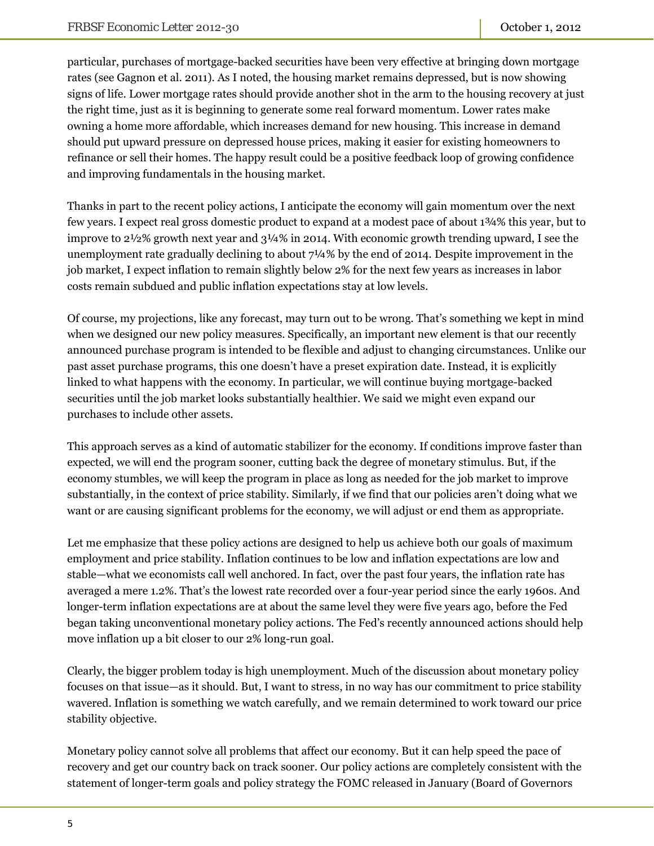particular, purchases of mortgage-backed securities have been very effective at bringing down mortgage rates (see Gagnon et al. 2011). As I noted, the housing market remains depressed, but is now showing signs of life. Lower mortgage rates should provide another shot in the arm to the housing recovery at just the right time, just as it is beginning to generate some real forward momentum. Lower rates make owning a home more affordable, which increases demand for new housing. This increase in demand should put upward pressure on depressed house prices, making it easier for existing homeowners to refinance or sell their homes. The happy result could be a positive feedback loop of growing confidence and improving fundamentals in the housing market.

Thanks in part to the recent policy actions, I anticipate the economy will gain momentum over the next few years. I expect real gross domestic product to expand at a modest pace of about 1¾% this year, but to improve to 2½% growth next year and 3¼% in 2014. With economic growth trending upward, I see the unemployment rate gradually declining to about 7¼% by the end of 2014. Despite improvement in the job market, I expect inflation to remain slightly below 2% for the next few years as increases in labor costs remain subdued and public inflation expectations stay at low levels.

Of course, my projections, like any forecast, may turn out to be wrong. That's something we kept in mind when we designed our new policy measures. Specifically, an important new element is that our recently announced purchase program is intended to be flexible and adjust to changing circumstances. Unlike our past asset purchase programs, this one doesn't have a preset expiration date. Instead, it is explicitly linked to what happens with the economy. In particular, we will continue buying mortgage-backed securities until the job market looks substantially healthier. We said we might even expand our purchases to include other assets.

This approach serves as a kind of automatic stabilizer for the economy. If conditions improve faster than expected, we will end the program sooner, cutting back the degree of monetary stimulus. But, if the economy stumbles, we will keep the program in place as long as needed for the job market to improve substantially, in the context of price stability. Similarly, if we find that our policies aren't doing what we want or are causing significant problems for the economy, we will adjust or end them as appropriate.

Let me emphasize that these policy actions are designed to help us achieve both our goals of maximum employment and price stability. Inflation continues to be low and inflation expectations are low and stable—what we economists call well anchored. In fact, over the past four years, the inflation rate has averaged a mere 1.2%. That's the lowest rate recorded over a four-year period since the early 1960s. And longer-term inflation expectations are at about the same level they were five years ago, before the Fed began taking unconventional monetary policy actions. The Fed's recently announced actions should help move inflation up a bit closer to our 2% long-run goal.

Clearly, the bigger problem today is high unemployment. Much of the discussion about monetary policy focuses on that issue—as it should. But, I want to stress, in no way has our commitment to price stability wavered. Inflation is something we watch carefully, and we remain determined to work toward our price stability objective.

Monetary policy cannot solve all problems that affect our economy. But it can help speed the pace of recovery and get our country back on track sooner. Our policy actions are completely consistent with the statement of longer-term goals and policy strategy the FOMC released in January (Board of Governors